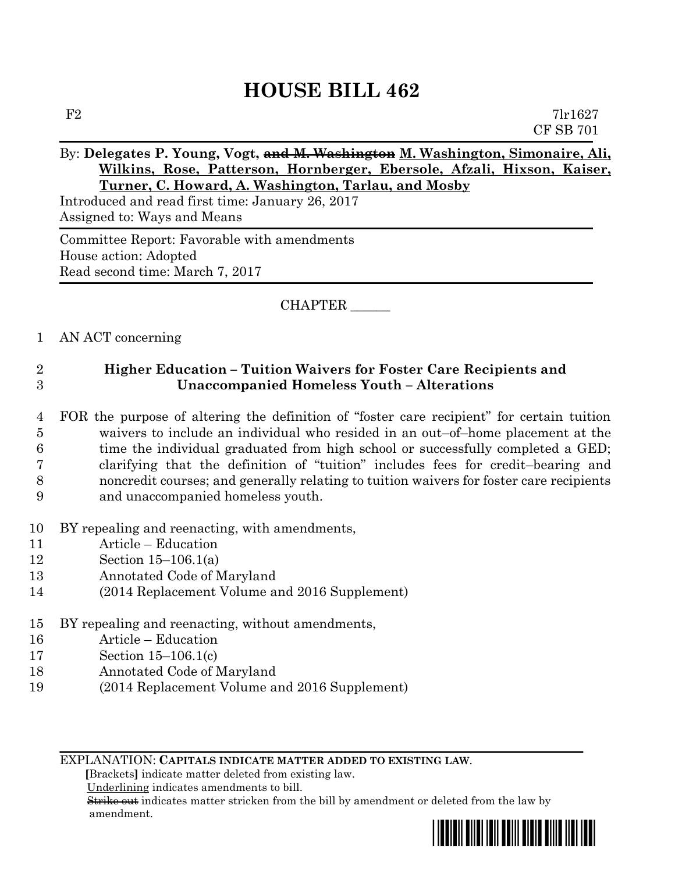# **HOUSE BILL 462**

 $F2$  7lr1627 CF SB 701

## By: **Delegates P. Young, Vogt, and M. Washington M. Washington, Simonaire, Ali, Wilkins, Rose, Patterson, Hornberger, Ebersole, Afzali, Hixson, Kaiser, Turner, C. Howard, A. Washington, Tarlau, and Mosby**

Introduced and read first time: January 26, 2017 Assigned to: Ways and Means

Committee Report: Favorable with amendments House action: Adopted Read second time: March 7, 2017

### CHAPTER \_\_\_\_\_\_

#### 1 AN ACT concerning

# 2 **Higher Education – Tuition Waivers for Foster Care Recipients and**  3 **Unaccompanied Homeless Youth – Alterations**

- 4 FOR the purpose of altering the definition of "foster care recipient" for certain tuition 5 waivers to include an individual who resided in an out–of–home placement at the 6 time the individual graduated from high school or successfully completed a GED; 7 clarifying that the definition of "tuition" includes fees for credit–bearing and 8 noncredit courses; and generally relating to tuition waivers for foster care recipients 9 and unaccompanied homeless youth.
- 10 BY repealing and reenacting, with amendments,
- 11 Article Education
- 12 Section 15–106.1(a)
- 13 Annotated Code of Maryland
- 14 (2014 Replacement Volume and 2016 Supplement)
- 15 BY repealing and reenacting, without amendments,
- 16 Article Education
- 17 Section 15–106.1(c)
- 18 Annotated Code of Maryland
- 19 (2014 Replacement Volume and 2016 Supplement)

EXPLANATION: **CAPITALS INDICATE MATTER ADDED TO EXISTING LAW**.

 **[**Brackets**]** indicate matter deleted from existing law.

Underlining indicates amendments to bill.

 Strike out indicates matter stricken from the bill by amendment or deleted from the law by amendment.

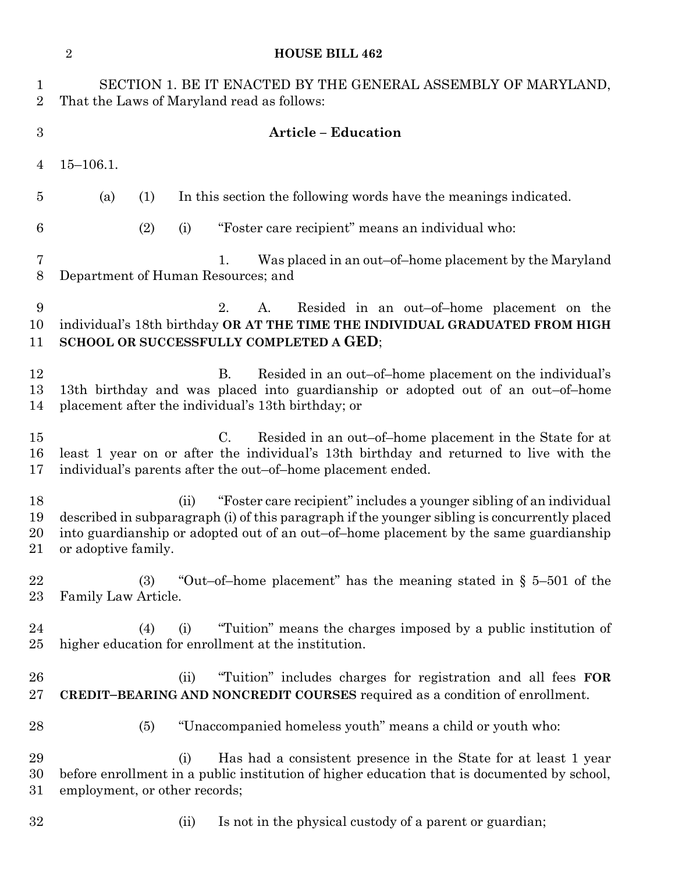|                               | $\overline{2}$<br><b>HOUSE BILL 462</b>                                                                                                                                                                                                                                                      |
|-------------------------------|----------------------------------------------------------------------------------------------------------------------------------------------------------------------------------------------------------------------------------------------------------------------------------------------|
| $\mathbf 1$<br>$\overline{2}$ | SECTION 1. BE IT ENACTED BY THE GENERAL ASSEMBLY OF MARYLAND,<br>That the Laws of Maryland read as follows:                                                                                                                                                                                  |
| $\boldsymbol{3}$              | <b>Article - Education</b>                                                                                                                                                                                                                                                                   |
| 4                             | $15 - 106.1.$                                                                                                                                                                                                                                                                                |
| $\overline{5}$                | In this section the following words have the meanings indicated.<br>(a)<br>(1)                                                                                                                                                                                                               |
| 6                             | "Foster care recipient" means an individual who:<br>(2)<br>(i)                                                                                                                                                                                                                               |
| 7<br>8                        | Was placed in an out-of-home placement by the Maryland<br>1.<br>Department of Human Resources; and                                                                                                                                                                                           |
| 9<br>10<br>11                 | 2.<br>Resided in an out-of-home placement on the<br>A.<br>individual's 18th birthday OR AT THE TIME THE INDIVIDUAL GRADUATED FROM HIGH<br><b>SCHOOL OR SUCCESSFULLY COMPLETED A GED;</b>                                                                                                     |
| 12<br>13<br>14                | <b>B.</b><br>Resided in an out-of-home placement on the individual's<br>13th birthday and was placed into guardianship or adopted out of an out-of-home<br>placement after the individual's 13th birthday; or                                                                                |
| 15<br>16<br>17                | Resided in an out-of-home placement in the State for at<br>$\rm C$ .<br>least 1 year on or after the individual's 13th birthday and returned to live with the<br>individual's parents after the out-of-home placement ended.                                                                 |
| 18<br>19<br>20<br>21          | "Foster care recipient" includes a younger sibling of an individual<br>(ii)<br>described in subparagraph (i) of this paragraph if the younger sibling is concurrently placed<br>into guardianship or adopted out of an out-of-home placement by the same guardianship<br>or adoptive family. |
| 22<br>$23\,$                  | "Out-of-home placement" has the meaning stated in $\S$ 5-501 of the<br>(3)<br>Family Law Article.                                                                                                                                                                                            |
| 24<br>$25\,$                  | "Tuition" means the charges imposed by a public institution of<br>(4)<br>(i)<br>higher education for enrollment at the institution.                                                                                                                                                          |
| 26<br>$27\,$                  | "Tuition" includes charges for registration and all fees FOR<br>(ii)<br>CREDIT-BEARING AND NONCREDIT COURSES required as a condition of enrollment.                                                                                                                                          |
| 28                            | "Unaccompanied homeless youth" means a child or youth who:<br>(5)                                                                                                                                                                                                                            |
| 29<br>30<br>$31\,$            | Has had a consistent presence in the State for at least 1 year<br>(i)<br>before enrollment in a public institution of higher education that is documented by school,<br>employment, or other records;                                                                                        |
| 32                            | Is not in the physical custody of a parent or guardian;<br>(ii)                                                                                                                                                                                                                              |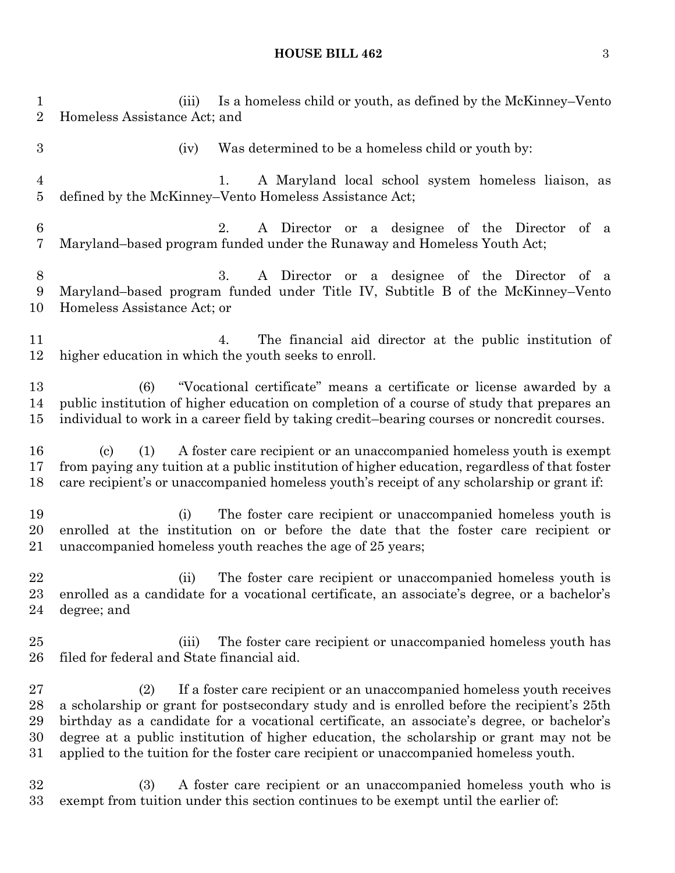# **HOUSE BILL 462** 3

| $\mathbf{1}$<br>$\overline{2}$   | Is a homeless child or youth, as defined by the McKinney-Vento<br>(iii)<br>Homeless Assistance Act; and                                                                                                                                                                                                                                                                                                                                                       |
|----------------------------------|---------------------------------------------------------------------------------------------------------------------------------------------------------------------------------------------------------------------------------------------------------------------------------------------------------------------------------------------------------------------------------------------------------------------------------------------------------------|
| $\boldsymbol{3}$                 | Was determined to be a homeless child or youth by:<br>(iv)                                                                                                                                                                                                                                                                                                                                                                                                    |
| $\overline{4}$<br>$\overline{5}$ | A Maryland local school system homeless liaison, as<br>1.<br>defined by the McKinney–Vento Homeless Assistance Act;                                                                                                                                                                                                                                                                                                                                           |
| $\boldsymbol{6}$<br>7            | A Director or a designee of the Director of a<br>2.<br>Maryland–based program funded under the Runaway and Homeless Youth Act;                                                                                                                                                                                                                                                                                                                                |
| $8\,$<br>9<br>10                 | 3.<br>A Director or a designee of the Director of a<br>Maryland–based program funded under Title IV, Subtitle B of the McKinney–Vento<br>Homeless Assistance Act; or                                                                                                                                                                                                                                                                                          |
| 11<br>12                         | The financial aid director at the public institution of<br>4.<br>higher education in which the youth seeks to enroll.                                                                                                                                                                                                                                                                                                                                         |
| 13<br>14<br>15                   | "Vocational certificate" means a certificate or license awarded by a<br>(6)<br>public institution of higher education on completion of a course of study that prepares an<br>individual to work in a career field by taking credit-bearing courses or noncredit courses.                                                                                                                                                                                      |
| 16<br>17<br>18                   | A foster care recipient or an unaccompanied homeless youth is exempt<br>(1)<br>$\left( \mathrm{c}\right)$<br>from paying any tuition at a public institution of higher education, regardless of that foster<br>care recipient's or unaccompanied homeless youth's receipt of any scholarship or grant if:                                                                                                                                                     |
| 19<br>20<br>21                   | The foster care recipient or unaccompanied homeless youth is<br>(i)<br>enrolled at the institution on or before the date that the foster care recipient or<br>unaccompanied homeless youth reaches the age of 25 years;                                                                                                                                                                                                                                       |
| 22<br>23<br>24                   | (ii) The foster care recipient or unaccompanied homeless youth is<br>enrolled as a candidate for a vocational certificate, an associate's degree, or a bachelor's<br>degree; and                                                                                                                                                                                                                                                                              |
| 25<br>26                         | The foster care recipient or unaccompanied homeless youth has<br>(iii)<br>filed for federal and State financial aid.                                                                                                                                                                                                                                                                                                                                          |
| 27<br>28<br>29<br>30<br>31       | If a foster care recipient or an unaccompanied homeless youth receives<br>(2)<br>a scholarship or grant for postsecondary study and is enrolled before the recipient's 25th<br>birthday as a candidate for a vocational certificate, an associate's degree, or bachelor's<br>degree at a public institution of higher education, the scholarship or grant may not be<br>applied to the tuition for the foster care recipient or unaccompanied homeless youth. |
| 32<br>33                         | (3)<br>A foster care recipient or an unaccompanied homeless youth who is<br>exempt from tuition under this section continues to be exempt until the earlier of:                                                                                                                                                                                                                                                                                               |